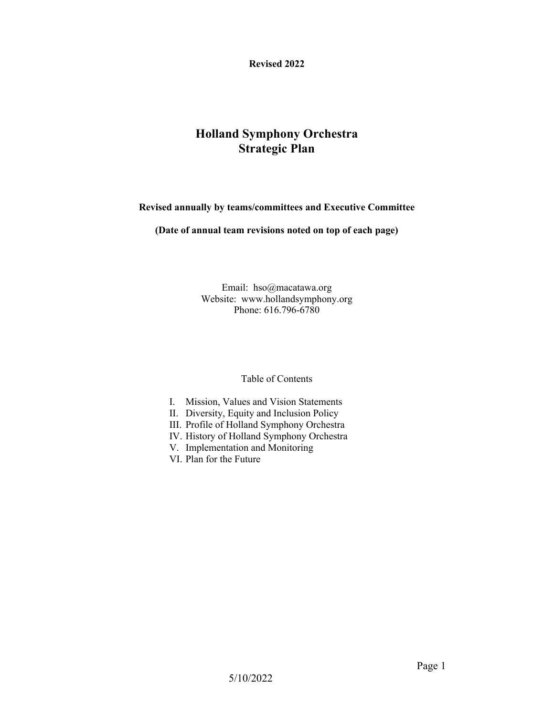**Revised 2022**

## **Holland Symphony Orchestra Strategic Plan**

**Revised annually by teams/committees and Executive Committee**

**(Date of annual team revisions noted on top of each page)**

Email: hso@macatawa.org Website: www.hollandsymphony.org Phone: 616.796-6780

Table of Contents

- I. Mission, Values and Vision Statements
- II. Diversity, Equity and Inclusion Policy
- III. Profile of Holland Symphony Orchestra
- IV. History of Holland Symphony Orchestra
- V. Implementation and Monitoring
- VI. Plan for the Future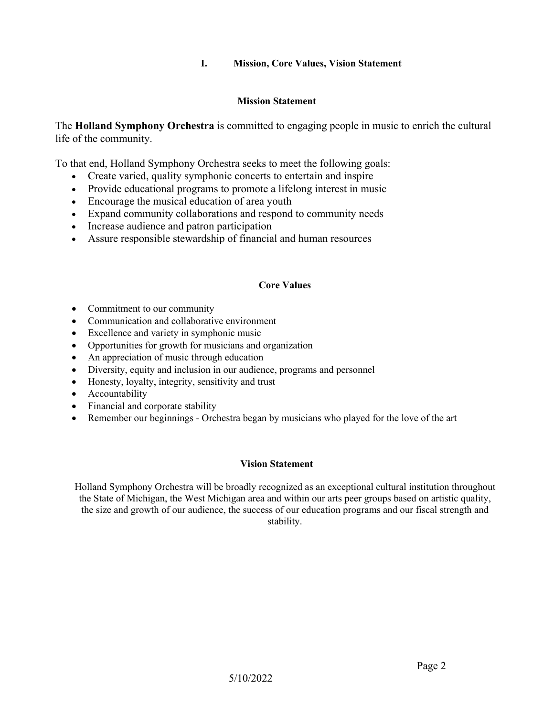### **I. Mission, Core Values, Vision Statement**

#### **Mission Statement**

The **Holland Symphony Orchestra** is committed to engaging people in music to enrich the cultural life of the community.

To that end, Holland Symphony Orchestra seeks to meet the following goals:

- Create varied, quality symphonic concerts to entertain and inspire
- Provide educational programs to promote a lifelong interest in music
- Encourage the musical education of area youth
- Expand community collaborations and respond to community needs
- Increase audience and patron participation
- Assure responsible stewardship of financial and human resources

### **Core Values**

- Commitment to our community
- Communication and collaborative environment
- Excellence and variety in symphonic music
- Opportunities for growth for musicians and organization
- An appreciation of music through education
- Diversity, equity and inclusion in our audience, programs and personnel
- Honesty, loyalty, integrity, sensitivity and trust
- Accountability
- Financial and corporate stability
- Remember our beginnings Orchestra began by musicians who played for the love of the art

#### **Vision Statement**

Holland Symphony Orchestra will be broadly recognized as an exceptional cultural institution throughout the State of Michigan, the West Michigan area and within our arts peer groups based on artistic quality, the size and growth of our audience, the success of our education programs and our fiscal strength and stability.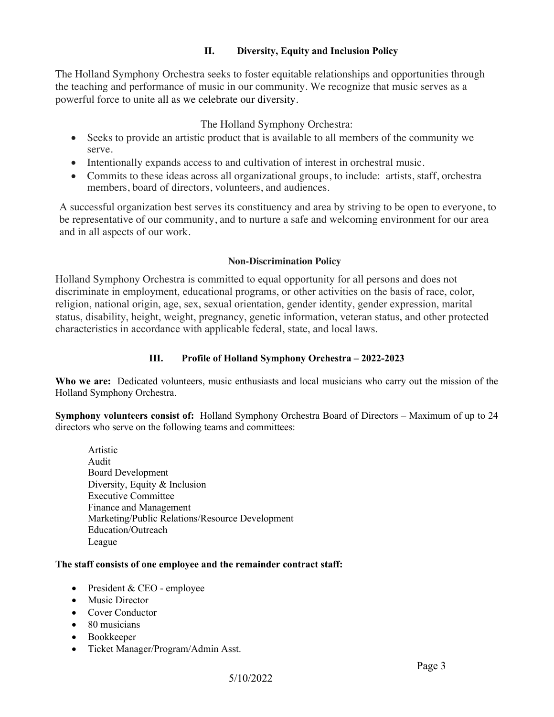### **II. Diversity, Equity and Inclusion Policy**

The Holland Symphony Orchestra seeks to foster equitable relationships and opportunities through the teaching and performance of music in our community. We recognize that music serves as a powerful force to unite all as we celebrate our diversity.

The Holland Symphony Orchestra:

- Seeks to provide an artistic product that is available to all members of the community we serve.
- Intentionally expands access to and cultivation of interest in orchestral music.
- Commits to these ideas across all organizational groups, to include: artists, staff, orchestra members, board of directors, volunteers, and audiences.

A successful organization best serves its constituency and area by striving to be open to everyone, to be representative of our community, and to nurture a safe and welcoming environment for our area and in all aspects of our work.

### **Non-Discrimination Policy**

Holland Symphony Orchestra is committed to equal opportunity for all persons and does not discriminate in employment, educational programs, or other activities on the basis of race, color, religion, national origin, age, sex, sexual orientation, gender identity, gender expression, marital status, disability, height, weight, pregnancy, genetic information, veteran status, and other protected characteristics in accordance with applicable federal, state, and local laws.

## **III. Profile of Holland Symphony Orchestra – 2022-2023**

**Who we are:** Dedicated volunteers, music enthusiasts and local musicians who carry out the mission of the Holland Symphony Orchestra.

**Symphony volunteers consist of:** Holland Symphony Orchestra Board of Directors – Maximum of up to 24 directors who serve on the following teams and committees:

Artistic Audit Board Development Diversity, Equity & Inclusion Executive Committee Finance and Management Marketing/Public Relations/Resource Development Education/Outreach League

### **The staff consists of one employee and the remainder contract staff:**

- President & CEO employee
- Music Director
- Cover Conductor
- 80 musicians
- Bookkeeper
- Ticket Manager/Program/Admin Asst.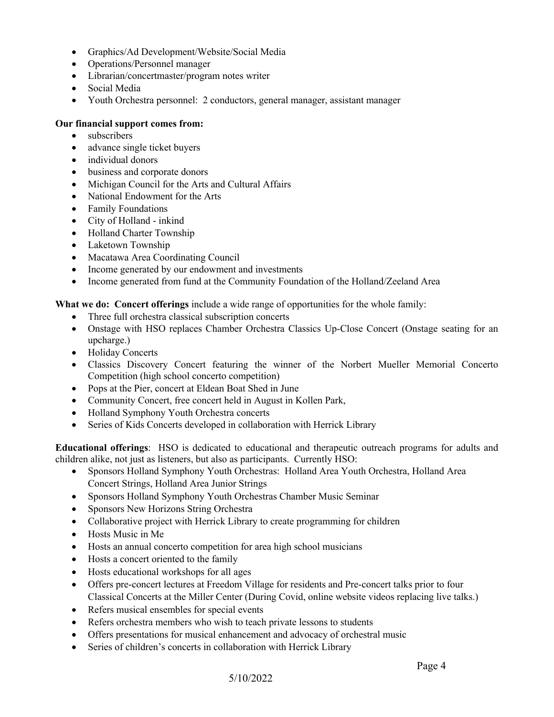- Graphics/Ad Development/Website/Social Media
- Operations/Personnel manager
- Librarian/concertmaster/program notes writer
- Social Media
- Youth Orchestra personnel: 2 conductors, general manager, assistant manager

### **Our financial support comes from:**

- subscribers
- advance single ticket buyers
- individual donors
- business and corporate donors
- Michigan Council for the Arts and Cultural Affairs
- National Endowment for the Arts
- Family Foundations
- City of Holland inkind
- Holland Charter Township
- Laketown Township
- Macatawa Area Coordinating Council
- Income generated by our endowment and investments
- Income generated from fund at the Community Foundation of the Holland/Zeeland Area

**What we do: Concert offerings** include a wide range of opportunities for the whole family:

- Three full orchestra classical subscription concerts
- Onstage with HSO replaces Chamber Orchestra Classics Up-Close Concert (Onstage seating for an upcharge.)
- Holiday Concerts
- Classics Discovery Concert featuring the winner of the Norbert Mueller Memorial Concerto Competition (high school concerto competition)
- Pops at the Pier, concert at Eldean Boat Shed in June
- Community Concert, free concert held in August in Kollen Park,
- Holland Symphony Youth Orchestra concerts
- Series of Kids Concerts developed in collaboration with Herrick Library

**Educational offerings**: HSO is dedicated to educational and therapeutic outreach programs for adults and children alike, not just as listeners, but also as participants. Currently HSO:

- Sponsors Holland Symphony Youth Orchestras: Holland Area Youth Orchestra, Holland Area Concert Strings, Holland Area Junior Strings
- Sponsors Holland Symphony Youth Orchestras Chamber Music Seminar
- Sponsors New Horizons String Orchestra
- Collaborative project with Herrick Library to create programming for children
- Hosts Music in Me
- Hosts an annual concerto competition for area high school musicians
- Hosts a concert oriented to the family
- Hosts educational workshops for all ages
- Offers pre-concert lectures at Freedom Village for residents and Pre-concert talks prior to four Classical Concerts at the Miller Center (During Covid, online website videos replacing live talks.)
- Refers musical ensembles for special events
- Refers orchestra members who wish to teach private lessons to students
- Offers presentations for musical enhancement and advocacy of orchestral music
- Series of children's concerts in collaboration with Herrick Library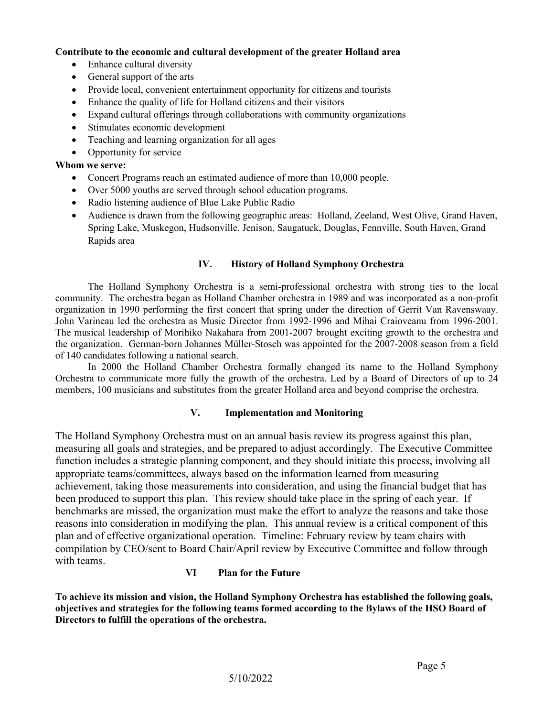#### **Contribute to the economic and cultural development of the greater Holland area**

- Enhance cultural diversity
- General support of the arts
- Provide local, convenient entertainment opportunity for citizens and tourists
- Enhance the quality of life for Holland citizens and their visitors
- Expand cultural offerings through collaborations with community organizations
- Stimulates economic development
- Teaching and learning organization for all ages
- Opportunity for service

#### **Whom we serve:**

- Concert Programs reach an estimated audience of more than 10,000 people.
- Over 5000 youths are served through school education programs.
- Radio listening audience of Blue Lake Public Radio
- Audience is drawn from the following geographic areas: Holland, Zeeland, West Olive, Grand Haven, Spring Lake, Muskegon, Hudsonville, Jenison, Saugatuck, Douglas, Fennville, South Haven, Grand Rapids area

### **IV. History of Holland Symphony Orchestra**

The Holland Symphony Orchestra is a semi-professional orchestra with strong ties to the local community. The orchestra began as Holland Chamber orchestra in 1989 and was incorporated as a non-profit organization in 1990 performing the first concert that spring under the direction of Gerrit Van Ravenswaay. John Varineau led the orchestra as Music Director from 1992-1996 and Mihai Craioveanu from 1996-2001. The musical leadership of Morihiko Nakahara from 2001-2007 brought exciting growth to the orchestra and the organization. German-born Johannes Müller-Stosch was appointed for the 2007-2008 season from a field of 140 candidates following a national search.

In 2000 the Holland Chamber Orchestra formally changed its name to the Holland Symphony Orchestra to communicate more fully the growth of the orchestra. Led by a Board of Directors of up to 24 members, 100 musicians and substitutes from the greater Holland area and beyond comprise the orchestra.

#### **V. Implementation and Monitoring**

The Holland Symphony Orchestra must on an annual basis review its progress against this plan, measuring all goals and strategies, and be prepared to adjust accordingly. The Executive Committee function includes a strategic planning component, and they should initiate this process, involving all appropriate teams/committees, always based on the information learned from measuring achievement, taking those measurements into consideration, and using the financial budget that has been produced to support this plan. This review should take place in the spring of each year. If benchmarks are missed, the organization must make the effort to analyze the reasons and take those reasons into consideration in modifying the plan. This annual review is a critical component of this plan and of effective organizational operation. Timeline: February review by team chairs with compilation by CEO/sent to Board Chair/April review by Executive Committee and follow through with teams.

#### **VI Plan for the Future**

**To achieve its mission and vision, the Holland Symphony Orchestra has established the following goals, objectives and strategies for the following teams formed according to the Bylaws of the HSO Board of Directors to fulfill the operations of the orchestra.**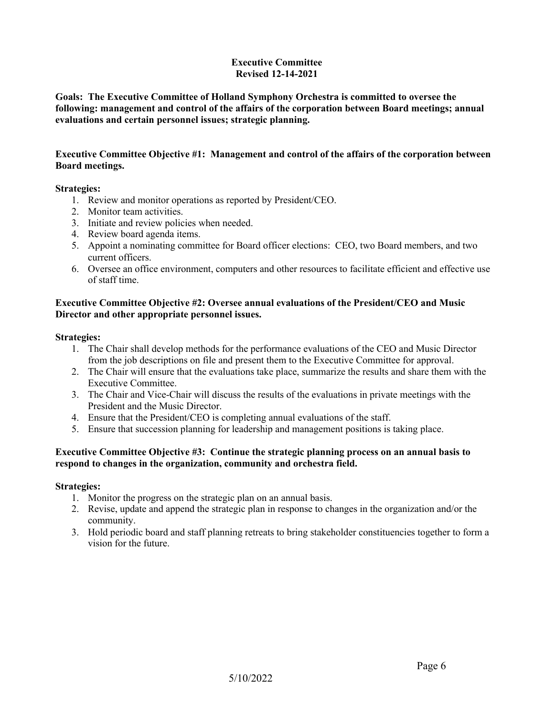#### **Executive Committee Revised 12-14-2021**

**Goals: The Executive Committee of Holland Symphony Orchestra is committed to oversee the following: management and control of the affairs of the corporation between Board meetings; annual evaluations and certain personnel issues; strategic planning.**

### **Executive Committee Objective #1: Management and control of the affairs of the corporation between Board meetings.**

#### **Strategies:**

- 1. Review and monitor operations as reported by President/CEO.
- 2. Monitor team activities.
- 3. Initiate and review policies when needed.
- 4. Review board agenda items.
- 5. Appoint a nominating committee for Board officer elections: CEO, two Board members, and two current officers.
- 6. Oversee an office environment, computers and other resources to facilitate efficient and effective use of staff time.

### **Executive Committee Objective #2: Oversee annual evaluations of the President/CEO and Music Director and other appropriate personnel issues.**

#### **Strategies:**

- 1. The Chair shall develop methods for the performance evaluations of the CEO and Music Director from the job descriptions on file and present them to the Executive Committee for approval.
- 2. The Chair will ensure that the evaluations take place, summarize the results and share them with the Executive Committee.
- 3. The Chair and Vice-Chair will discuss the results of the evaluations in private meetings with the President and the Music Director.
- 4. Ensure that the President/CEO is completing annual evaluations of the staff.
- 5. Ensure that succession planning for leadership and management positions is taking place.

### **Executive Committee Objective #3: Continue the strategic planning process on an annual basis to respond to changes in the organization, community and orchestra field.**

- 1. Monitor the progress on the strategic plan on an annual basis.
- 2. Revise, update and append the strategic plan in response to changes in the organization and/or the community.
- 3. Hold periodic board and staff planning retreats to bring stakeholder constituencies together to form a vision for the future.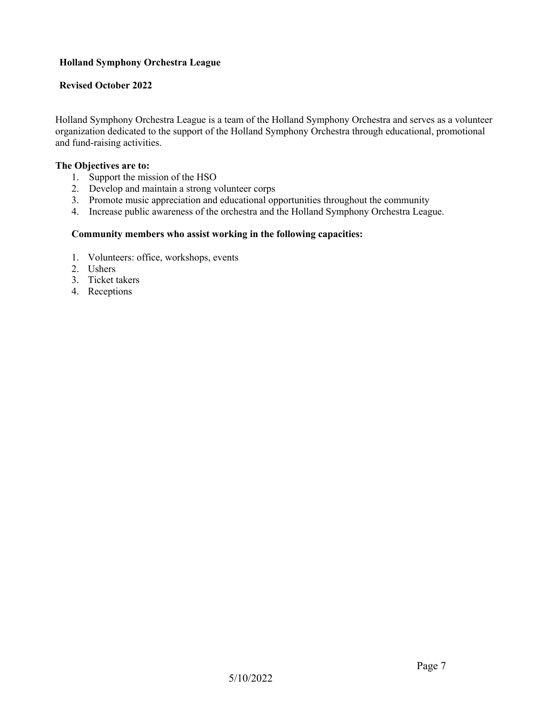### **Holland Symphony Orchestra League**

### **Revised October 2022**

Holland Symphony Orchestra League is a team of the Holland Symphony Orchestra and serves as a volunteer organization dedicated to the support of the Holland Symphony Orchestra through educational, promotional and fund-raising activities.

#### **The Objectives are to:**

- 1. Support the mission of the HSO
- 2. Develop and maintain a strong volunteer corps
- 3. Promote music appreciation and educational opportunities throughout the community
- 4. Increase public awareness of the orchestra and the Holland Symphony Orchestra League.

### **Community members who assist working in the following capacities:**

- 1. Volunteers: office, workshops, events
- 2. Ushers
- 3. Ticket takers
- 4. Receptions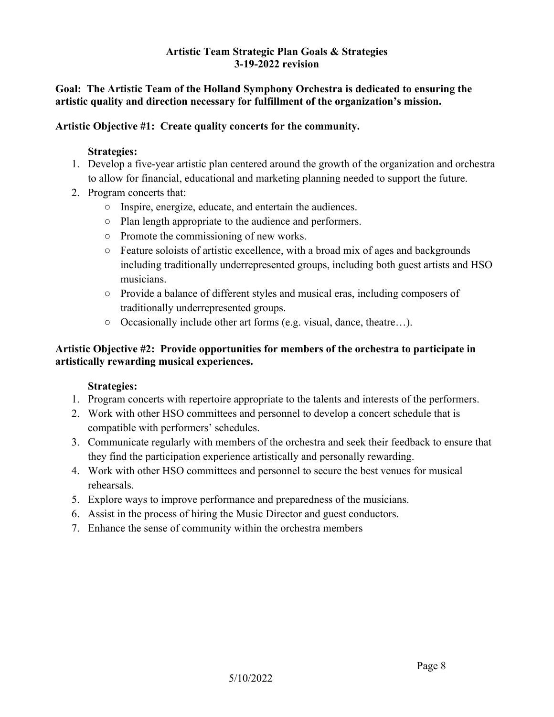## **Artistic Team Strategic Plan Goals & Strategies 3-19-2022 revision**

## **Goal: The Artistic Team of the Holland Symphony Orchestra is dedicated to ensuring the artistic quality and direction necessary for fulfillment of the organization's mission.**

## **Artistic Objective #1: Create quality concerts for the community.**

## **Strategies:**

- 1. Develop a five-year artistic plan centered around the growth of the organization and orchestra to allow for financial, educational and marketing planning needed to support the future.
- 2. Program concerts that:
	- Inspire, energize, educate, and entertain the audiences.
	- Plan length appropriate to the audience and performers.
	- Promote the commissioning of new works.
	- $\circ$  Feature soloists of artistic excellence, with a broad mix of ages and backgrounds including traditionally underrepresented groups, including both guest artists and HSO musicians.
	- Provide a balance of different styles and musical eras, including composers of traditionally underrepresented groups.
	- Occasionally include other art forms (e.g. visual, dance, theatre…).

## **Artistic Objective #2: Provide opportunities for members of the orchestra to participate in artistically rewarding musical experiences.**

- 1. Program concerts with repertoire appropriate to the talents and interests of the performers.
- 2. Work with other HSO committees and personnel to develop a concert schedule that is compatible with performers' schedules.
- 3. Communicate regularly with members of the orchestra and seek their feedback to ensure that they find the participation experience artistically and personally rewarding.
- 4. Work with other HSO committees and personnel to secure the best venues for musical rehearsals.
- 5. Explore ways to improve performance and preparedness of the musicians.
- 6. Assist in the process of hiring the Music Director and guest conductors.
- 7. Enhance the sense of community within the orchestra members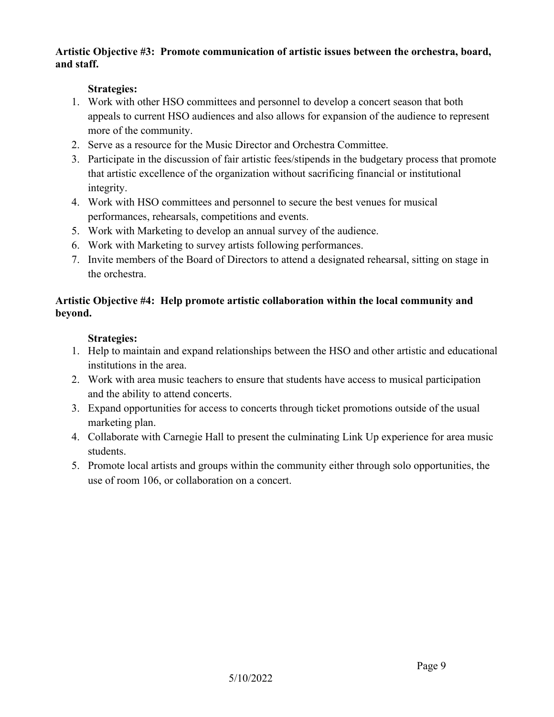## **Artistic Objective #3: Promote communication of artistic issues between the orchestra, board, and staff.**

## **Strategies:**

- 1. Work with other HSO committees and personnel to develop a concert season that both appeals to current HSO audiences and also allows for expansion of the audience to represent more of the community.
- 2. Serve as a resource for the Music Director and Orchestra Committee.
- 3. Participate in the discussion of fair artistic fees/stipends in the budgetary process that promote that artistic excellence of the organization without sacrificing financial or institutional integrity.
- 4. Work with HSO committees and personnel to secure the best venues for musical performances, rehearsals, competitions and events.
- 5. Work with Marketing to develop an annual survey of the audience.
- 6. Work with Marketing to survey artists following performances.
- 7. Invite members of the Board of Directors to attend a designated rehearsal, sitting on stage in the orchestra.

## **Artistic Objective #4: Help promote artistic collaboration within the local community and beyond.**

- 1. Help to maintain and expand relationships between the HSO and other artistic and educational institutions in the area.
- 2. Work with area music teachers to ensure that students have access to musical participation and the ability to attend concerts.
- 3. Expand opportunities for access to concerts through ticket promotions outside of the usual marketing plan.
- 4. Collaborate with Carnegie Hall to present the culminating Link Up experience for area music students.
- 5. Promote local artists and groups within the community either through solo opportunities, the use of room 106, or collaboration on a concert.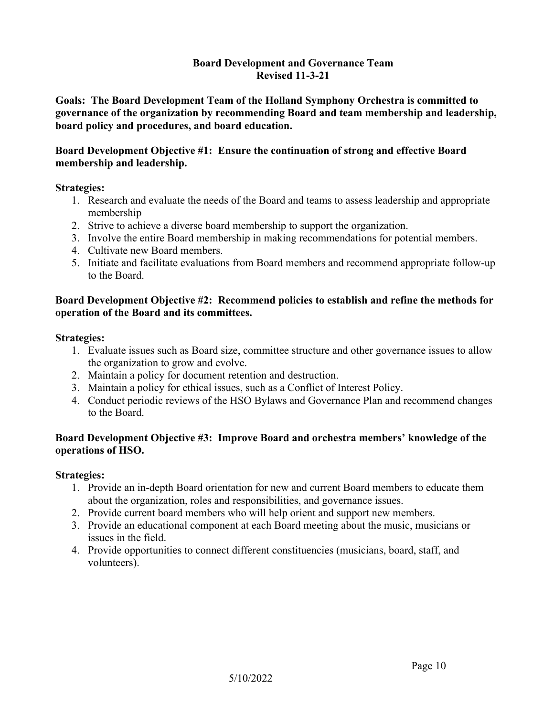### **Board Development and Governance Team Revised 11-3-21**

**Goals: The Board Development Team of the Holland Symphony Orchestra is committed to governance of the organization by recommending Board and team membership and leadership, board policy and procedures, and board education.**

## **Board Development Objective #1: Ensure the continuation of strong and effective Board membership and leadership.**

### **Strategies:**

- 1. Research and evaluate the needs of the Board and teams to assess leadership and appropriate membership
- 2. Strive to achieve a diverse board membership to support the organization.
- 3. Involve the entire Board membership in making recommendations for potential members.
- 4. Cultivate new Board members.
- 5. Initiate and facilitate evaluations from Board members and recommend appropriate follow-up to the Board.

## **Board Development Objective #2: Recommend policies to establish and refine the methods for operation of the Board and its committees.**

### **Strategies:**

- 1. Evaluate issues such as Board size, committee structure and other governance issues to allow the organization to grow and evolve.
- 2. Maintain a policy for document retention and destruction.
- 3. Maintain a policy for ethical issues, such as a Conflict of Interest Policy.
- 4. Conduct periodic reviews of the HSO Bylaws and Governance Plan and recommend changes to the Board.

## **Board Development Objective #3: Improve Board and orchestra members' knowledge of the operations of HSO.**

- 1. Provide an in-depth Board orientation for new and current Board members to educate them about the organization, roles and responsibilities, and governance issues.
- 2. Provide current board members who will help orient and support new members.
- 3. Provide an educational component at each Board meeting about the music, musicians or issues in the field.
- 4. Provide opportunities to connect different constituencies (musicians, board, staff, and volunteers).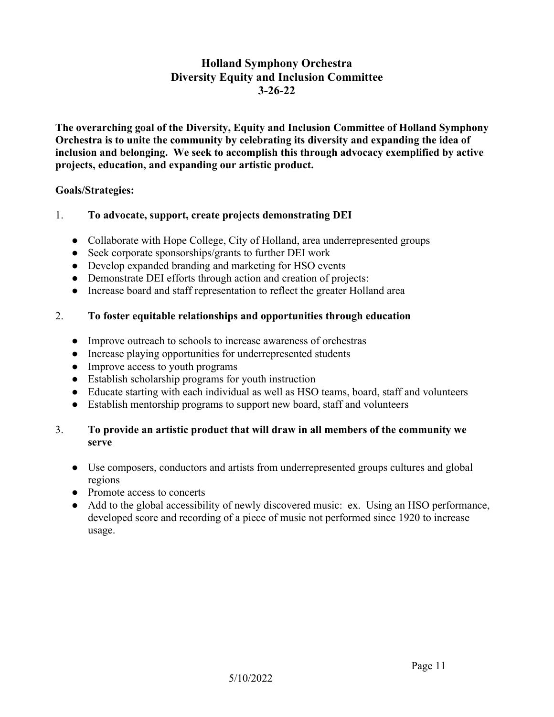## **Holland Symphony Orchestra Diversity Equity and Inclusion Committee 3-26-22**

**The overarching goal of the Diversity, Equity and Inclusion Committee of Holland Symphony Orchestra is to unite the community by celebrating its diversity and expanding the idea of inclusion and belonging. We seek to accomplish this through advocacy exemplified by active projects, education, and expanding our artistic product.**

### **Goals/Strategies:**

## 1. **To advocate, support, create projects demonstrating DEI**

- Collaborate with Hope College, City of Holland, area underrepresented groups
- Seek corporate sponsorships/grants to further DEI work
- Develop expanded branding and marketing for HSO events
- Demonstrate DEI efforts through action and creation of projects:
- Increase board and staff representation to reflect the greater Holland area

## 2. **To foster equitable relationships and opportunities through education**

- Improve outreach to schools to increase awareness of orchestras
- Increase playing opportunities for underrepresented students
- Improve access to youth programs
- Establish scholarship programs for youth instruction
- Educate starting with each individual as well as HSO teams, board, staff and volunteers
- Establish mentorship programs to support new board, staff and volunteers

## 3. **To provide an artistic product that will draw in all members of the community we serve**

- Use composers, conductors and artists from underrepresented groups cultures and global regions
- Promote access to concerts
- Add to the global accessibility of newly discovered music: ex. Using an HSO performance, developed score and recording of a piece of music not performed since 1920 to increase usage.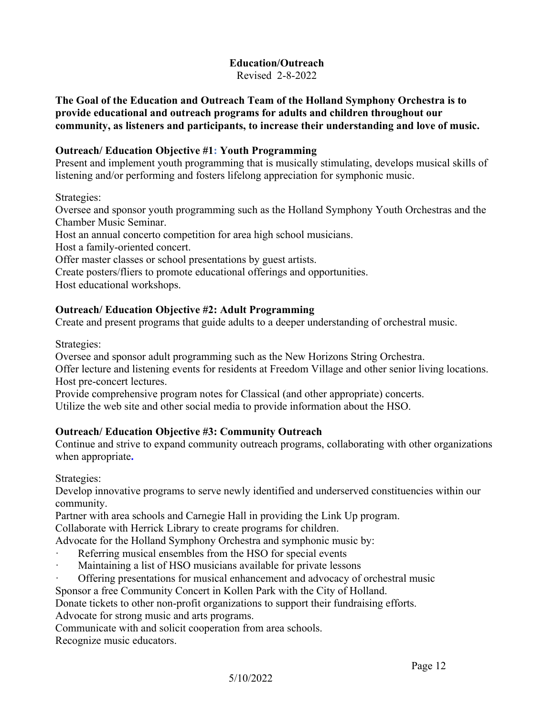# **Education/Outreach**

Revised 2-8-2022

**The Goal of the Education and Outreach Team of the Holland Symphony Orchestra is to provide educational and outreach programs for adults and children throughout our community, as listeners and participants, to increase their understanding and love of music.**

## **Outreach/ Education Objective #1: Youth Programming**

Present and implement youth programming that is musically stimulating, develops musical skills of listening and/or performing and fosters lifelong appreciation for symphonic music.

Strategies:

Oversee and sponsor youth programming such as the Holland Symphony Youth Orchestras and the Chamber Music Seminar.

Host an annual concerto competition for area high school musicians.

Host a family-oriented concert.

Offer master classes or school presentations by guest artists.

Create posters/fliers to promote educational offerings and opportunities.

Host educational workshops.

## **Outreach/ Education Objective #2: Adult Programming**

Create and present programs that guide adults to a deeper understanding of orchestral music.

Strategies:

Oversee and sponsor adult programming such as the New Horizons String Orchestra.

Offer lecture and listening events for residents at Freedom Village and other senior living locations. Host pre-concert lectures.

Provide comprehensive program notes for Classical (and other appropriate) concerts.

Utilize the web site and other social media to provide information about the HSO.

## **Outreach/ Education Objective #3: Community Outreach**

Continue and strive to expand community outreach programs, collaborating with other organizations when appropriate**.** 

Strategies:

Develop innovative programs to serve newly identified and underserved constituencies within our community.

Partner with area schools and Carnegie Hall in providing the Link Up program.

Collaborate with Herrick Library to create programs for children.

Advocate for the Holland Symphony Orchestra and symphonic music by:

- Referring musical ensembles from the HSO for special events
- Maintaining a list of HSO musicians available for private lessons
- · Offering presentations for musical enhancement and advocacy of orchestral music

Sponsor a free Community Concert in Kollen Park with the City of Holland.

Donate tickets to other non-profit organizations to support their fundraising efforts.

Advocate for strong music and arts programs.

Communicate with and solicit cooperation from area schools.

Recognize music educators.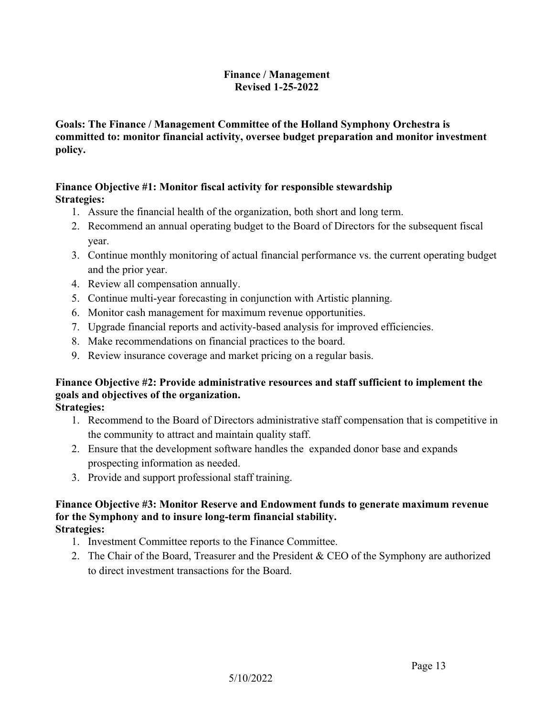## **Finance / Management Revised 1-25-2022**

## **Goals: The Finance / Management Committee of the Holland Symphony Orchestra is committed to: monitor financial activity, oversee budget preparation and monitor investment policy.**

### **Finance Objective #1: Monitor fiscal activity for responsible stewardship Strategies:**

- 1. Assure the financial health of the organization, both short and long term.
- 2. Recommend an annual operating budget to the Board of Directors for the subsequent fiscal year.
- 3. Continue monthly monitoring of actual financial performance vs. the current operating budget and the prior year.
- 4. Review all compensation annually.
- 5. Continue multi-year forecasting in conjunction with Artistic planning.
- 6. Monitor cash management for maximum revenue opportunities.
- 7. Upgrade financial reports and activity-based analysis for improved efficiencies.
- 8. Make recommendations on financial practices to the board.
- 9. Review insurance coverage and market pricing on a regular basis.

## **Finance Objective #2: Provide administrative resources and staff sufficient to implement the goals and objectives of the organization.**

**Strategies:**

- 1. Recommend to the Board of Directors administrative staff compensation that is competitive in the community to attract and maintain quality staff.
- 2. Ensure that the development software handles the expanded donor base and expands prospecting information as needed.
- 3. Provide and support professional staff training.

### **Finance Objective #3: Monitor Reserve and Endowment funds to generate maximum revenue for the Symphony and to insure long-term financial stability. Strategies:**

- 1. Investment Committee reports to the Finance Committee.
- 2. The Chair of the Board, Treasurer and the President & CEO of the Symphony are authorized to direct investment transactions for the Board.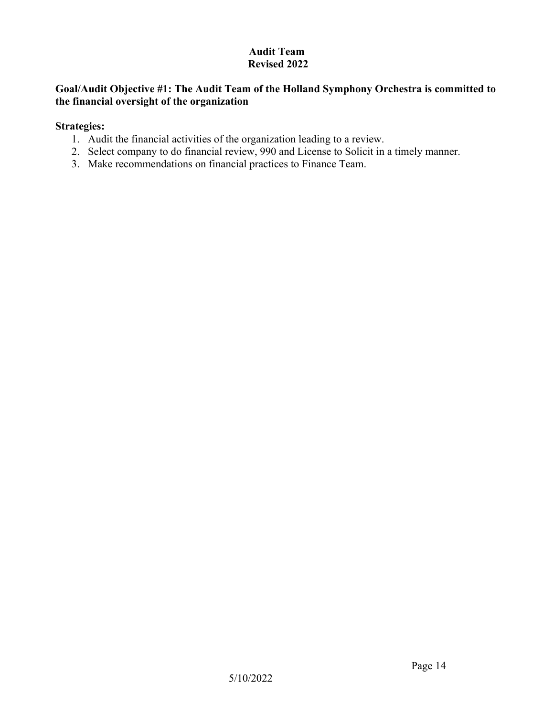## **Audit Team Revised 2022**

## **Goal/Audit Objective #1: The Audit Team of the Holland Symphony Orchestra is committed to the financial oversight of the organization**

- 1. Audit the financial activities of the organization leading to a review.
- 2. Select company to do financial review, 990 and License to Solicit in a timely manner.
- 3. Make recommendations on financial practices to Finance Team.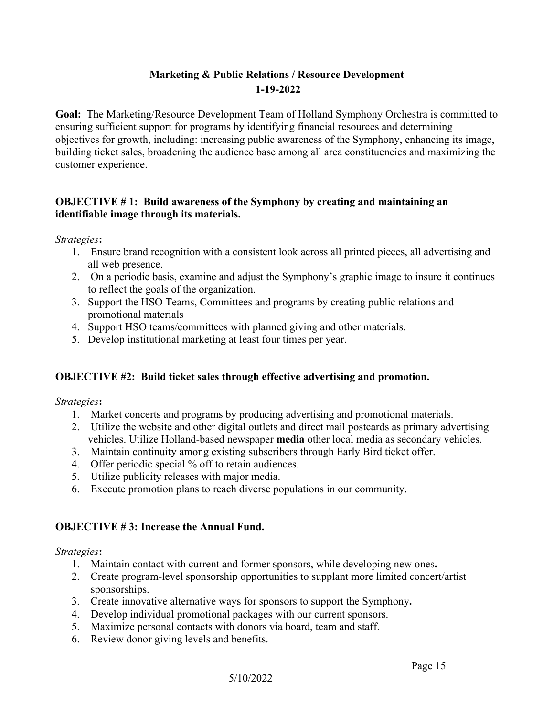## **Marketing & Public Relations / Resource Development 1-19-2022**

**Goal:** The Marketing/Resource Development Team of Holland Symphony Orchestra is committed to ensuring sufficient support for programs by identifying financial resources and determining objectives for growth, including: increasing public awareness of the Symphony, enhancing its image, building ticket sales, broadening the audience base among all area constituencies and maximizing the customer experience.

## **OBJECTIVE # 1: Build awareness of the Symphony by creating and maintaining an identifiable image through its materials.**

*Strategies***:**

- 1. Ensure brand recognition with a consistent look across all printed pieces, all advertising and all web presence.
- 2. On a periodic basis, examine and adjust the Symphony's graphic image to insure it continues to reflect the goals of the organization.
- 3. Support the HSO Teams, Committees and programs by creating public relations and promotional materials
- 4. Support HSO teams/committees with planned giving and other materials.
- 5. Develop institutional marketing at least four times per year.

## **OBJECTIVE #2: Build ticket sales through effective advertising and promotion.**

*Strategies***:**

- 1. Market concerts and programs by producing advertising and promotional materials.
- 2. Utilize the website and other digital outlets and direct mail postcards as primary advertising vehicles. Utilize Holland-based newspaper **media** other local media as secondary vehicles.
- 3. Maintain continuity among existing subscribers through Early Bird ticket offer.
- 4. Offer periodic special % off to retain audiences.
- 5. Utilize publicity releases with major media.
- 6. Execute promotion plans to reach diverse populations in our community.

## **OBJECTIVE # 3: Increase the Annual Fund.**

- 1. Maintain contact with current and former sponsors, while developing new ones**.**
- 2. Create program-level sponsorship opportunities to supplant more limited concert/artist sponsorships.
- 3. Create innovative alternative ways for sponsors to support the Symphony**.**
- 4. Develop individual promotional packages with our current sponsors.
- 5. Maximize personal contacts with donors via board, team and staff.
- 6. Review donor giving levels and benefits.